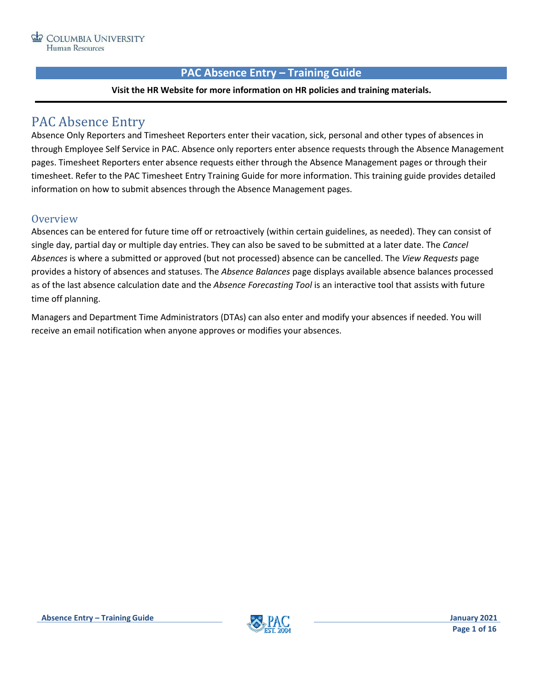# **PAC Absence Entry – Training Guide**

### **Visit the HR Website for more information on HR policies and training materials.**

# <span id="page-0-0"></span>PAC Absence Entry

Absence Only Reporters and Timesheet Reporters enter their vacation, sick, personal and other types of absences in through Employee Self Service in PAC. Absence only reporters enter absence requests through the Absence Management pages. Timesheet Reporters enter absence requests either through the Absence Management pages or through their timesheet. Refer to the PAC Timesheet Entry Training Guide for more information. This training guide provides detailed information on how to submit absences through the Absence Management pages.

# <span id="page-0-1"></span>**Overview**

Absences can be entered for future time off or retroactively (within certain guidelines, as needed). They can consist of single day, partial day or multiple day entries. They can also be saved to be submitted at a later date. The *Cancel Absences* is where a submitted or approved (but not processed) absence can be cancelled. The *View Requests* page provides a history of absences and statuses. The *Absence Balances* page displays available absence balances processed as of the last absence calculation date and the *Absence Forecasting Tool* is an interactive tool that assists with future time off planning.

Managers and Department Time Administrators (DTAs) can also enter and modify your absences if needed. You will receive an email notification when anyone approves or modifies your absences.

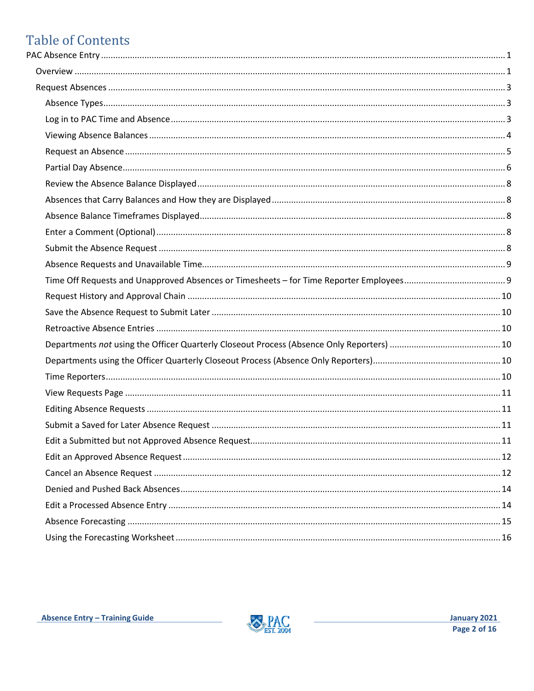# **Table of Contents**

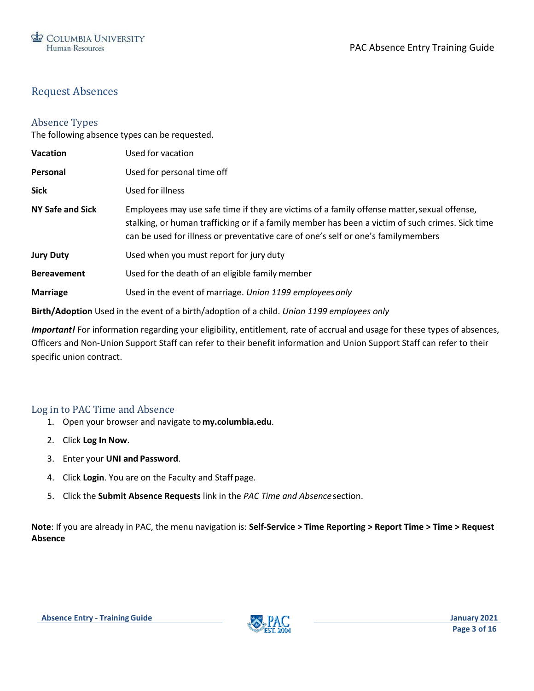# <span id="page-2-0"></span>Request Absences

# <span id="page-2-1"></span>Absence Types

The following absence types can be requested.

| Used for vacation                                                                                                                                                                                                                                                                    |
|--------------------------------------------------------------------------------------------------------------------------------------------------------------------------------------------------------------------------------------------------------------------------------------|
| Used for personal time off                                                                                                                                                                                                                                                           |
| Used for illness                                                                                                                                                                                                                                                                     |
| Employees may use safe time if they are victims of a family offense matter, sexual offense,<br>stalking, or human trafficking or if a family member has been a victim of such crimes. Sick time<br>can be used for illness or preventative care of one's self or one's familymembers |
| Used when you must report for jury duty                                                                                                                                                                                                                                              |
| Used for the death of an eligible family member                                                                                                                                                                                                                                      |
| Used in the event of marriage. Union 1199 employees only                                                                                                                                                                                                                             |
|                                                                                                                                                                                                                                                                                      |

**Birth/Adoption** Used in the event of a birth/adoption of a child. *Union 1199 employees only*

*Important!* For information regarding your eligibility, entitlement, rate of accrual and usage for these types of absences, Officers and Non-Union Support Staff can refer to their benefit information and Union Support Staff can refer to their specific union contract.

# <span id="page-2-2"></span>Log in to PAC Time and Absence

- 1. Open your browser and navigate to **my.columbia.edu**.
- 2. Click **Log In Now**.
- 3. Enter your **UNI and Password**.
- 4. Click **Login**. You are on the Faculty and Staff page.
- 5. Click the **Submit Absence Requests** link in the *PAC Time and Absence*section.

**Note**: If you are already in PAC, the menu navigation is: **Self-Service > Time Reporting > Report Time > Time > Request Absence**

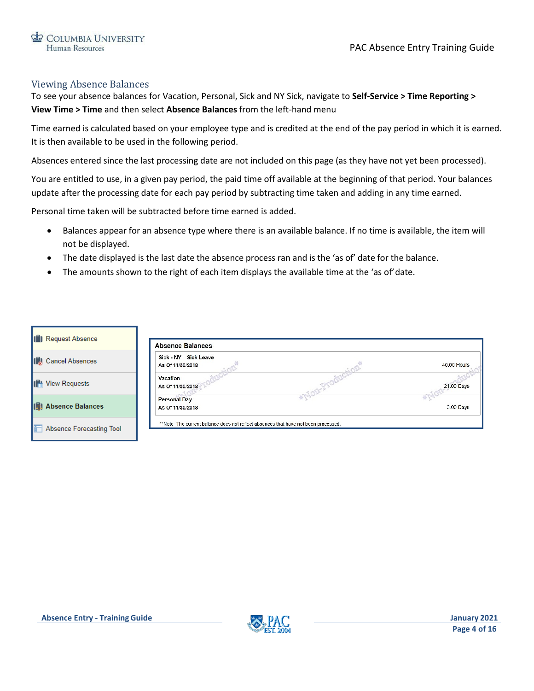# <span id="page-3-0"></span>Viewing Absence Balances

To see your absence balances for Vacation, Personal, Sick and NY Sick, navigate to **Self-Service > Time Reporting > View Time > Time** and then select **Absence Balances** from the left-hand menu

Time earned is calculated based on your employee type and is credited at the end of the pay period in which it is earned. It is then available to be used in the following period.

Absences entered since the last processing date are not included on this page (as they have not yet been processed).

You are entitled to use, in a given pay period, the paid time off available at the beginning of that period. Your balances update after the processing date for each pay period by subtracting time taken and adding in any time earned.

Personal time taken will be subtracted before time earned is added.

- Balances appear for an absence type where there is an available balance. If no time is available, the item will not be displayed.
- The date displayed is the last date the absence process ran and is the 'as of' date for the balance.
- The amounts shown to the right of each item displays the available time at the 'as of' date.

| <b>ID</b> Request Absence  | <b>Absence Balances</b>                                                            |                    |
|----------------------------|------------------------------------------------------------------------------------|--------------------|
| <b>Cancel Absences</b>     | Sick - NY Sick Leave<br>As Of 11/30/2018                                           | <b>40.00 Hours</b> |
| <b>View Requests</b>       | <b>Vacation</b><br>As Of 11/30/2018                                                | 21.00 Days         |
| <b>ID</b> Absence Balances | <b>Personal Day</b><br>As Of 11/30/2018                                            | 3.00 Days          |
| Absence Forecasting Tool   | **Note The current balance does not reflect absences that have not been processed. |                    |

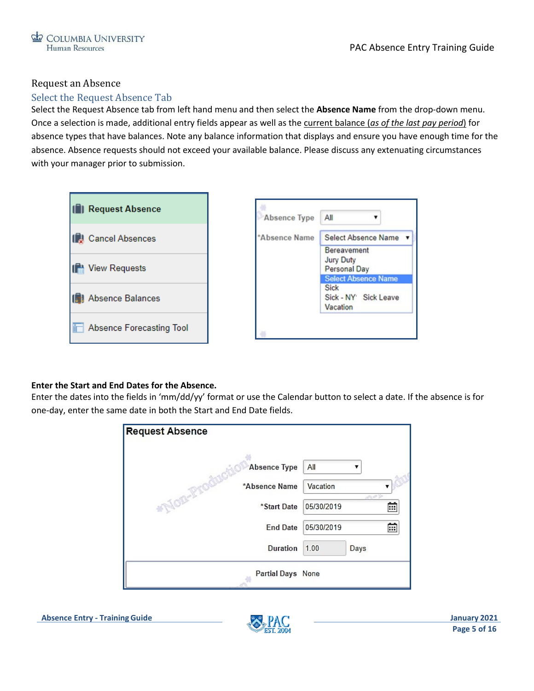# <span id="page-4-0"></span>Request an Absence

# Select the Request Absence Tab

Select the Request Absence tab from left hand menu and then select the **Absence Name** from the drop-down menu. Once a selection is made, additional entry fields appear as well as the current balance (*as of the last pay period*) for absence types that have balances. Note any balance information that displays and ensure you have enough time for the absence. Absence requests should not exceed your available balance. Please discuss any extenuating circumstances with your manager prior to submission.



### **Enter the Start and End Dates for the Absence.**

Enter the dates into the fields in 'mm/dd/yy' format or use the Calendar button to select a date. If the absence is for one-day, enter the same date in both the Start and End Date fields.

| <b>Request Absence</b>  |                     |               |
|-------------------------|---------------------|---------------|
| <b>Absence Type</b>     | All                 |               |
| *Absence Name           | Vacation            | Ser Card Star |
| *Non-Pro<br>*Start Date | 05/30/2019          | m             |
| <b>End Date</b>         | 05/30/2019          | Ē             |
| <b>Duration</b>         | 1.00<br><b>Days</b> |               |
| Partial Days None       |                     |               |

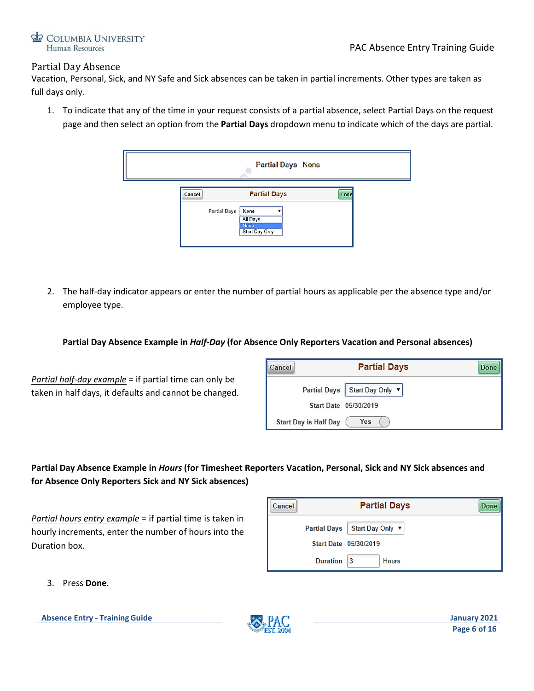

### <span id="page-5-0"></span>Partial Day Absence

Vacation, Personal, Sick, and NY Safe and Sick absences can be taken in partial increments. Other types are taken as full days only.

1. To indicate that any of the time in your request consists of a partial absence, select Partial Days on the request page and then select an option from the **Partial Days** dropdown menu to indicate which of the days are partial.

|        |                     | <b>Partial Days None</b>                                                 |             |
|--------|---------------------|--------------------------------------------------------------------------|-------------|
| Cancel | <b>Partial Days</b> | <b>Partial Days</b><br>None<br>All Days<br><b>None</b><br>Start Day Only | <b>Done</b> |

2. The half-day indicator appears or enter the number of partial hours as applicable per the absence type and/or employee type.

### **Partial Day Absence Example in** *Half-Day* **(for Absence Only Reporters Vacation and Personal absences)**

*Partial half-day example* = if partial time can only be taken in half days, it defaults and cannot be changed.

| Cancel |                       | <b>Partial Days</b>             | Done |
|--------|-----------------------|---------------------------------|------|
|        |                       | Partial Days   Start Day Only v |      |
|        |                       | Start Date 05/30/2019           |      |
|        | Start Day is Half Day | Yes                             |      |

# **Partial Day Absence Example in** *Hours* **(for Timesheet Reporters Vacation, Personal, Sick and NY Sick absences and for Absence Only Reporters Sick and NY Sick absences)**

*Partial hours entry example* = if partial time is taken in hourly increments, enter the number of hours into the Duration box.

| Cancel |          | <b>Partial Days</b>           | <b>Done</b> |
|--------|----------|-------------------------------|-------------|
|        |          | Partial Days Start Day Only ▼ |             |
|        |          | Start Date 05/30/2019         |             |
|        | Duration | 13<br><b>Hours</b>            |             |

3. Press **Done**.

**Absence Entry - Training Guide January 2021**

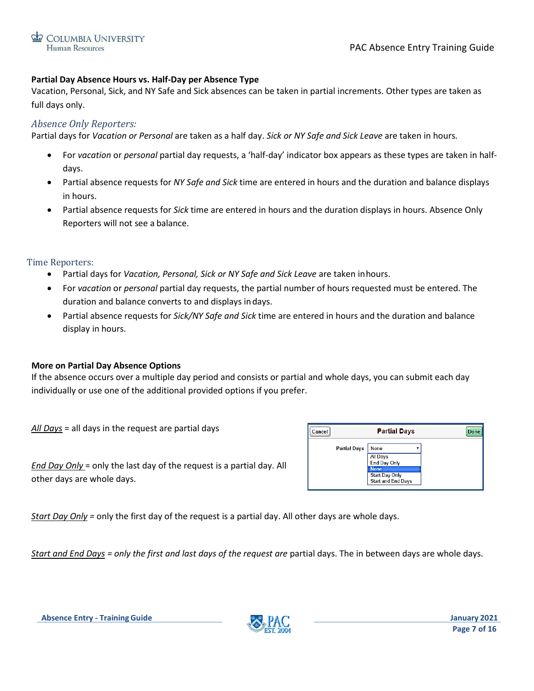

### **Partial Day Absence Hours vs. Half-Day per Absence Type**

Vacation, Personal, Sick, and NY Safe and Sick absences can be taken in partial increments. Other types are taken as full days only.

### *Absence Only Reporters:*

Partial days for *Vacation or Personal* are taken as a half day. *Sick or NY Safe and Sick Leave* are taken in hours.

- For *vacation* or *personal* partial day requests, a 'half-day' indicator box appears as these types are taken in halfdays.
- Partial absence requests for *NY Safe and Sick* time are entered in hours and the duration and balance displays in hours.
- Partial absence requests for *Sick* time are entered in hours and the duration displays in hours. Absence Only Reporters will not see a balance.

#### Time Reporters:

- Partial days for *Vacation, Personal, Sick or NY Safe and Sick Leave* are taken inhours.
- For *vacation* or *personal* partial day requests, the partial number of hours requested must be entered. The duration and balance converts to and displays indays.
- Partial absence requests for *Sick/NY Safe and Sick* time are entered in hours and the duration and balance display in hours.

### **More on Partial Day Absence Options**

If the absence occurs over a multiple day period and consists or partial and whole days, you can submit each day individually or use one of the additional provided options if you prefer.

*All Days* = all days in the request are partial days

| Cancel |                     | <b>Partial Days</b>             | <b>Done</b> |
|--------|---------------------|---------------------------------|-------------|
|        | <b>Partial Days</b> | <b>None</b>                     |             |
|        |                     | <b>All Days</b><br>End Day Only |             |
|        |                     | <b>None</b>                     |             |
|        |                     | <b>Start Day Only</b>           |             |
|        |                     | <b>Start and End Days</b>       |             |

*End Day Only* = only the last day of the request is a partial day. All other days are whole days.

*Start Day Only =* only the first day of the request is a partial day. All other days are whole days.

*Start and End Days* = only the first and last days of the request are partial days. The in between days are whole days.

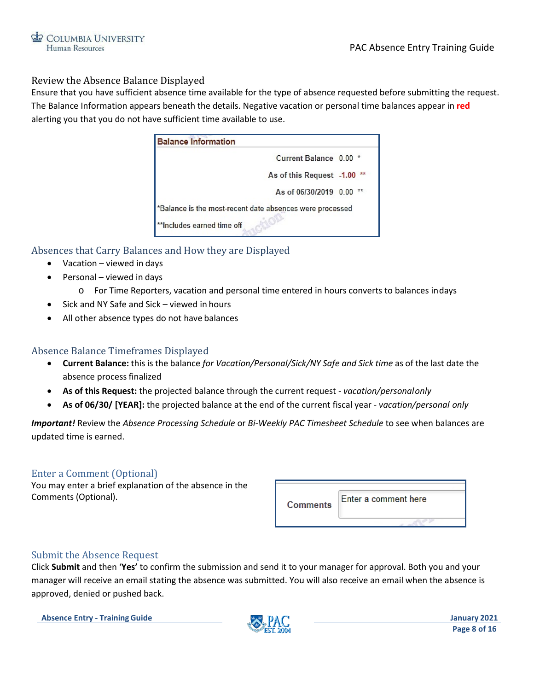

### <span id="page-7-0"></span>Review the Absence Balance Displayed

Ensure that you have sufficient absence time available for the type of absence requested before submitting the request. The Balance Information appears beneath the details. Negative vacation or personal time balances appear in **red**  alerting you that you do not have sufficient time available to use.

| <b>Balance Information</b>                               |                          |  |
|----------------------------------------------------------|--------------------------|--|
|                                                          | Current Balance 0.00 *   |  |
|                                                          | As of this Request -1.00 |  |
|                                                          | As of 06/30/2019 0.00    |  |
| *Balance is the most-recent date absences were processed |                          |  |
| **Includes earned time off                               |                          |  |

# <span id="page-7-1"></span>Absences that Carry Balances and How they are Displayed

- Vacation viewed in days
- Personal viewed in days
	- o For Time Reporters, vacation and personal time entered in hours converts to balances indays
- Sick and NY Safe and Sick viewed in hours
- All other absence types do not have balances

# <span id="page-7-2"></span>Absence Balance Timeframes Displayed

- **Current Balance:** this is the balance *for Vacation/Personal/Sick/NY Safe and Sick time* as of the last date the absence process finalized
- **As of this Request:** the projected balance through the current request *vacation/personalonly*
- **As of 06/30/ [YEAR]:** the projected balance at the end of the current fiscal year *vacation/personal only*

*Important!* Review the *Absence Processing Schedule* or *Bi-Weekly PAC Timesheet Schedule* to see when balances are updated time is earned.

### <span id="page-7-3"></span>Enter a Comment (Optional)

You may enter a brief explanation of the absence in the Comments (Optional).

| <b>Comments</b> | Enter a comment here |
|-----------------|----------------------|
|                 |                      |

### <span id="page-7-4"></span>Submit the Absence Request

Click **Submit** and then '**Yes'** to confirm the submission and send it to your manager for approval. Both you and your manager will receive an email stating the absence was submitted. You will also receive an email when the absence is approved, denied or pushed back.

**Absence Entry - Training Guide January 2021**

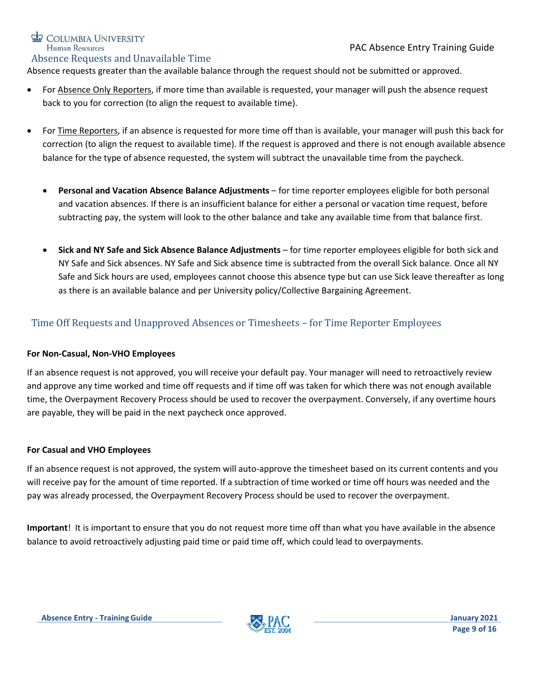# COLUMBIA UNIVERSITY Human Resources

### <span id="page-8-0"></span>Absence Requests and Unavailable Time

Absence requests greater than the available balance through the request should not be submitted or approved.

- For Absence Only Reporters, if more time than available is requested, your manager will push the absence request back to you for correction (to align the request to available time).
- For Time Reporters, if an absence is requested for more time off than is available, your manager will push this back for correction (to align the request to available time). If the request is approved and there is not enough available absence balance for the type of absence requested, the system will subtract the unavailable time from the paycheck.
	- **Personal and Vacation Absence Balance Adjustments** for time reporter employees eligible for both personal and vacation absences. If there is an insufficient balance for either a personal or vacation time request, before subtracting pay, the system will look to the other balance and take any available time from that balance first.
	- **Sick and NY Safe and Sick Absence Balance Adjustments** for time reporter employees eligible for both sick and NY Safe and Sick absences. NY Safe and Sick absence time is subtracted from the overall Sick balance. Once all NY Safe and Sick hours are used, employees cannot choose this absence type but can use Sick leave thereafter as long as there is an available balance and per University policy/Collective Bargaining Agreement.

# <span id="page-8-1"></span>Time Off Requests and Unapproved Absences or Timesheets – for Time Reporter Employees

# **For Non-Casual, Non-VHO Employees**

If an absence request is not approved, you will receive your default pay. Your manager will need to retroactively review and approve any time worked and time off requests and if time off was taken for which there was not enough available time, the Overpayment Recovery Process should be used to recover the overpayment. Conversely, if any overtime hours are payable, they will be paid in the next paycheck once approved.

# **For Casual and VHO Employees**

If an absence request is not approved, the system will auto-approve the timesheet based on its current contents and you will receive pay for the amount of time reported. If a subtraction of time worked or time off hours was needed and the pay was already processed, the Overpayment Recovery Process should be used to recover the overpayment.

**Important**! It is important to ensure that you do not request more time off than what you have available in the absence balance to avoid retroactively adjusting paid time or paid time off, which could lead to overpayments.

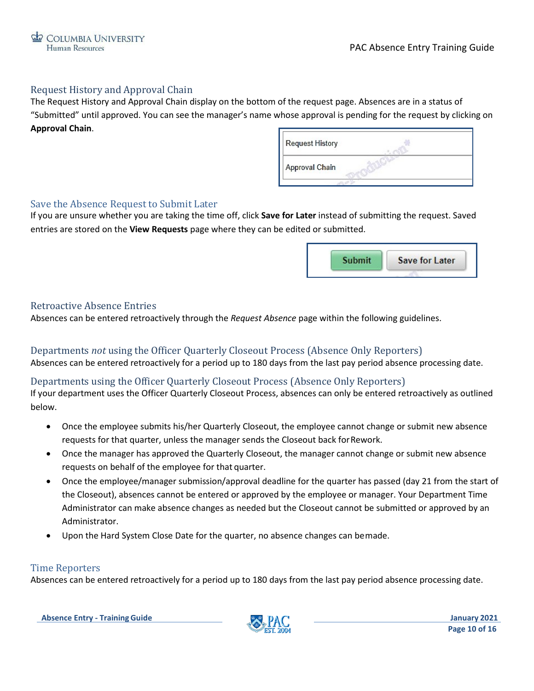

### <span id="page-9-0"></span>Request History and Approval Chain

The Request History and Approval Chain display on the bottom of the request page. Absences are in a status of "Submitted" until approved. You can see the manager's name whose approval is pending for the request by clicking on **Approval Chain**.

| <b>Request History</b> |  |
|------------------------|--|
| Approval Chain         |  |
|                        |  |

### <span id="page-9-1"></span>Save the Absence Request to Submit Later

If you are unsure whether you are taking the time off, click **Save for Later** instead of submitting the request. Saved entries are stored on the **View Requests** page where they can be edited or submitted.



### <span id="page-9-2"></span>Retroactive Absence Entries

Absences can be entered retroactively through the *Request Absence* page within the following guidelines.

### <span id="page-9-3"></span>Departments *not* using the Officer Quarterly Closeout Process (Absence Only Reporters)

Absences can be entered retroactively for a period up to 180 days from the last pay period absence processing date.

### <span id="page-9-4"></span>Departments using the Officer Quarterly Closeout Process (Absence Only Reporters)

If your department uses the Officer Quarterly Closeout Process, absences can only be entered retroactively as outlined below.

- Once the employee submits his/her Quarterly Closeout, the employee cannot change or submit new absence requests for that quarter, unless the manager sends the Closeout back forRework.
- Once the manager has approved the Quarterly Closeout, the manager cannot change or submit new absence requests on behalf of the employee for that quarter.
- Once the employee/manager submission/approval deadline for the quarter has passed (day 21 from the start of the Closeout), absences cannot be entered or approved by the employee or manager. Your Department Time Administrator can make absence changes as needed but the Closeout cannot be submitted or approved by an Administrator.
- Upon the Hard System Close Date for the quarter, no absence changes can bemade.

### <span id="page-9-5"></span>Time Reporters

Absences can be entered retroactively for a period up to 180 days from the last pay period absence processing date.

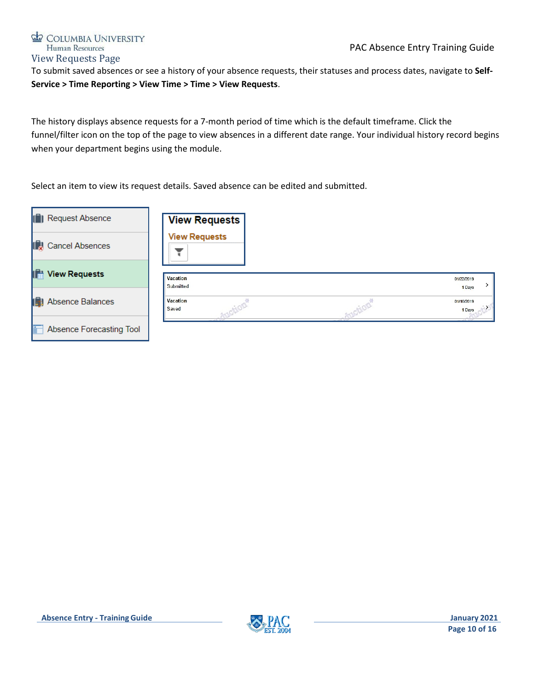# PAC Absence Entry Training Guide

# COLUMBIA UNIVERSITY Human Resources View Requests Page

<span id="page-10-0"></span>To submit saved absences or see a history of your absence requests, their statuses and process dates, navigate to **Self-Service > Time Reporting > View Time > Time > View Requests**.

The history displays absence requests for a 7-month period of time which is the default timeframe. Click the funnel/filter icon on the top of the page to view absences in a different date range. Your individual history record begins when your department begins using the module.

Select an item to view its request details. Saved absence can be edited and submitted.

| <b>1</b> Request Absence     | <b>View Requests</b>  |                      |
|------------------------------|-----------------------|----------------------|
| <b>ID</b> Cancel Absences    | <b>View Requests</b>  |                      |
| lifa<br><b>View Requests</b> | Vacation<br>Submitted | 01/22/2019<br>1 Days |
| Absence Balances             | Vacation<br>Saved     | 01/10/2019<br>1 Days |
| Absence Forecasting Tool     |                       |                      |

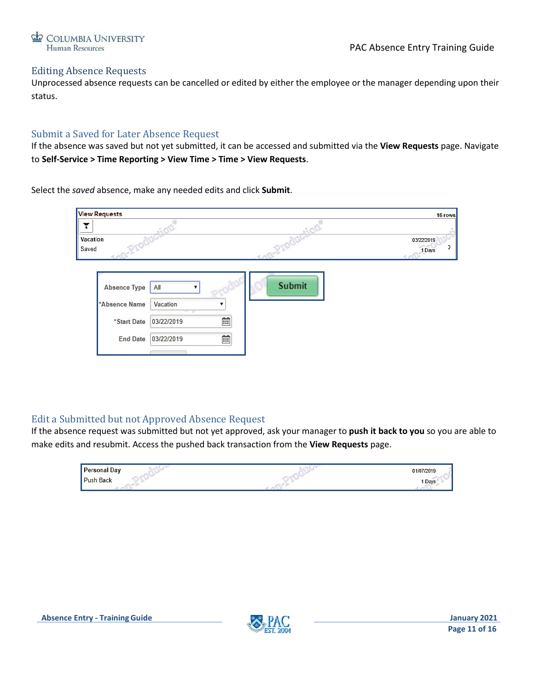

### <span id="page-11-0"></span>Editing Absence Requests

Unprocessed absence requests can be cancelled or edited by either the employee or the manager depending upon their status.

### <span id="page-11-1"></span>Submit a Saved for Later Absence Request

If the absence was saved but not yet submitted, it can be accessed and submitted via the **View Requests** page. Navigate to **Self-Service > Time Reporting > View Time > Time > View Requests**.

Select the *saved* absence, make any needed edits and click **Submit**.

| <b>View Requests</b> |                  |   |        | 16 rows    |
|----------------------|------------------|---|--------|------------|
|                      |                  |   |        |            |
| Vacation             |                  |   |        | 03/22/2019 |
| Saved                |                  |   |        | 1 Days     |
|                      |                  |   |        |            |
| <b>Absence Type</b>  | All              |   | Submit |            |
| *Absence Name        | Vacation<br>$-1$ | Ŧ |        |            |
| *Start Date          | 03/22/2019       | 藚 |        |            |
| <b>End Date</b>      | 03/22/2019       | 歯 |        |            |
|                      |                  |   |        |            |

# <span id="page-11-2"></span>Edit a Submitted but not Approved Absence Request

If the absence request was submitted but not yet approved, ask your manager to **push it back to you** so you are able to make edits and resubmit. Access the pushed back transaction from the **View Requests** page.



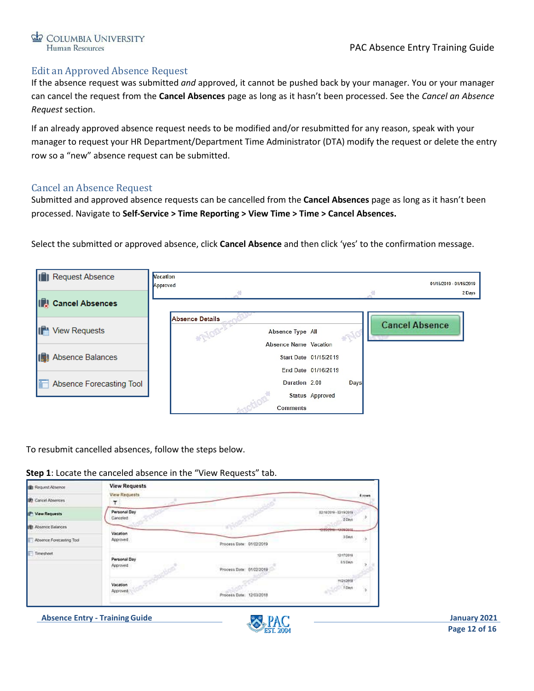# <span id="page-12-0"></span>Edit an Approved Absence Request

If the absence request was submitted *and* approved, it cannot be pushed back by your manager. You or your manager can cancel the request from the **Cancel Absences** page as long as it hasn't been processed. See the *Cancel an Absence Request* section.

If an already approved absence request needs to be modified and/or resubmitted for any reason, speak with your manager to request your HR Department/Department Time Administrator (DTA) modify the request or delete the entry row so a "new" absence request can be submitted.

### <span id="page-12-1"></span>Cancel an Absence Request

Submitted and approved absence requests can be cancelled from the **Cancel Absences** page as long as it hasn't been processed. Navigate to **Self-Service > Time Reporting > View Time > Time > Cancel Absences.**

Select the submitted or approved absence, click **Cancel Absence** and then click 'yes' to the confirmation message.



To resubmit cancelled absences, follow the steps below.

| Step 1: Locate the canceled absence in the "View Requests" tab. |  |  |
|-----------------------------------------------------------------|--|--|
|-----------------------------------------------------------------|--|--|

| <b>IB:</b> Request Absence | <b>View Requests</b>                   |                          |                                               |        |
|----------------------------|----------------------------------------|--------------------------|-----------------------------------------------|--------|
| <b>DE</b> Cancel Absences  | View Requests                          |                          |                                               | 4 rows |
| IP View Requests           | Personal Day<br>Canceled               |                          | 82/10/2019 - 82/19/2019<br>TO MAKES<br>2 Cinn |        |
| <b>B</b> Absence Balances  |                                        |                          | 12050110-42080012                             |        |
| Absence Forecasting Tool   | Vacation<br>Appoint                    | Process Date: 01/02/2019 | 3 Days                                        |        |
| Timesheet                  | en trouven<br>Personal Day<br>Approved | Process Date: 01/02/2019 | 12170018<br>8 5 Days                          |        |
|                            | Several.<br>Vacation<br>Approved       | Process Date: 12/03/2018 | 11/21/2018<br>1 Days                          |        |



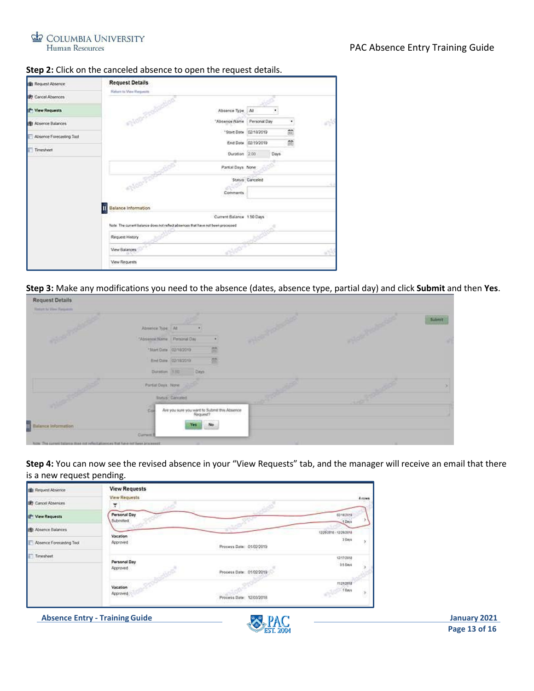

#### **Step 2:** Click on the canceled absence to open the request details.

| <b>In</b> Request Absence | <b>Request Details</b>                                                            |          |                     |      |   |    |
|---------------------------|-----------------------------------------------------------------------------------|----------|---------------------|------|---|----|
| <b>ID</b> Cancel Absences | Ridgers to View Responsible                                                       |          |                     |      |   |    |
| IP View Requests          | Абселов Туре   АІ                                                                 |          |                     |      |   |    |
| 图 Absence Balances        | <b>PHONES</b><br>"Absence Name                                                    |          | Personal Day        |      |   | W. |
| Absence Forecasting Tool  | "Start Date 02/18/2019                                                            |          |                     |      | Ë |    |
|                           |                                                                                   |          | End Date 02/19/2019 |      | 益 |    |
| <b>F</b> Timesheet        | Duration 2.00                                                                     |          |                     | Days |   |    |
|                           | Partial Days None                                                                 |          |                     |      |   |    |
|                           | <b>SOUTH</b>                                                                      |          | Status: Canceled    |      |   |    |
|                           |                                                                                   | Comments |                     |      |   |    |
|                           | Balance Information                                                               |          |                     |      |   |    |
|                           | Current Balance 150 Days                                                          |          |                     |      |   |    |
|                           | field. The current balance does not reflect absences that have not been processed |          |                     |      |   |    |
|                           | Réguest History                                                                   |          |                     |      |   |    |
|                           | <b>View Balances</b>                                                              |          |                     |      |   |    |
|                           | View Requests                                                                     |          |                     |      |   |    |

**Step 3:** Make any modifications you need to the absence (dates, absence type, partial day) and click **Submit** and then **Yes**.

| <b>Return to View Requests</b><br><b>Charles Company</b> |                           |                                                          | ANGELONG AN | ANOTHER A | <b>Submit</b> |
|----------------------------------------------------------|---------------------------|----------------------------------------------------------|-------------|-----------|---------------|
|                                                          | Absence Type At           |                                                          |             |           |               |
|                                                          | "Absence Name Penanul Day |                                                          |             |           |               |
|                                                          | "Start Date 02/18/2019    | 鹽                                                        |             |           |               |
|                                                          | End Date 02/182019        | 兰                                                        |             |           |               |
|                                                          | Duration 110 Days         |                                                          |             |           |               |
|                                                          | <b>Partial Days None</b>  |                                                          | 2,250       |           |               |
|                                                          | Status Canceled           |                                                          |             |           |               |
|                                                          | Col                       | Are you sure you want to Submit this Absence<br>Request? |             |           |               |
| <b>The Ballance Information</b>                          | <b>Yes</b>                | No                                                       |             |           |               |
|                                                          | Current B                 |                                                          |             |           |               |

**Step 4:** You can now see the revised absence in your "View Requests" tab, and the manager will receive an email that there is a new request pending.

| <b>Illi</b> Request Absence       | <b>View Requests</b>       |                                                         |                     |               |
|-----------------------------------|----------------------------|---------------------------------------------------------|---------------------|---------------|
| <b>IP</b> : Cancel Absences       | <b>View Requests</b><br>۳  |                                                         |                     | <b>A</b> rows |
| (P View Requests                  | Personal Day<br>Submitted. |                                                         | 0218/2019<br>1 Days |               |
| 图 Absence Balances                |                            |                                                         | 12052016 12292018   |               |
| <b>E</b> Absence Forecasting Tool | Vacation<br>Approved       | Process Date: 01/02/2019                                | 3 Days<br>œ         |               |
| Timesheet                         | Personal Day<br>Approved   | Process Date: 01/02/2019<br><b>Mark Ladisland Holly</b> | 12170918<br>35 Days |               |
|                                   | Vacation<br>Approved       | Process Date: 12/03/2018                                | 11212018<br>f Days  |               |

**Absence Entry - Training Guide** January 2021

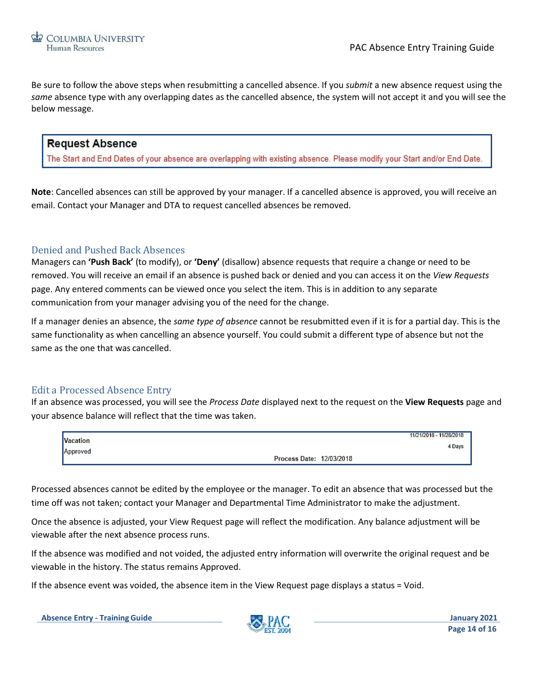Be sure to follow the above steps when resubmitting a cancelled absence. If you *submit* a new absence request using the *same* absence type with any overlapping dates as the cancelled absence, the system will not accept it and you will see the below message.

# **Request Absence**

The Start and End Dates of your absence are overlapping with existing absence. Please modify your Start and/or End Date.

**Note**: Cancelled absences can still be approved by your manager. If a cancelled absence is approved, you will receive an email. Contact your Manager and DTA to request cancelled absences be removed.

### <span id="page-14-0"></span>Denied and Pushed Back Absences

Managers can **'Push Back'** (to modify), or **'Deny'** (disallow) absence requests that require a change or need to be removed. You will receive an email if an absence is pushed back or denied and you can access it on the *View Requests*  page. Any entered comments can be viewed once you select the item. This is in addition to any separate communication from your manager advising you of the need for the change.

If a manager denies an absence, the *same type of absence* cannot be resubmitted even if it is for a partial day. This is the same functionality as when cancelling an absence yourself. You could submit a different type of absence but not the same as the one that was cancelled.

### <span id="page-14-1"></span>Edit a Processed Absence Entry

If an absence was processed, you will see the *Process Date* displayed next to the request on the **View Requests** page and your absence balance will reflect that the time was taken.

| <b>Vacation</b> |                          | 11/21/2018 - 11/28/2018 |
|-----------------|--------------------------|-------------------------|
|                 |                          | 4 Days                  |
| Approved        | Process Date: 12/03/2018 |                         |

Processed absences cannot be edited by the employee or the manager. To edit an absence that was processed but the time off was not taken; contact your Manager and Departmental Time Administrator to make the adjustment.

Once the absence is adjusted, your View Request page will reflect the modification. Any balance adjustment will be viewable after the next absence process runs.

If the absence was modified and not voided, the adjusted entry information will overwrite the original request and be viewable in the history. The status remains Approved.

If the absence event was voided, the absence item in the View Request page displays a status = Void.

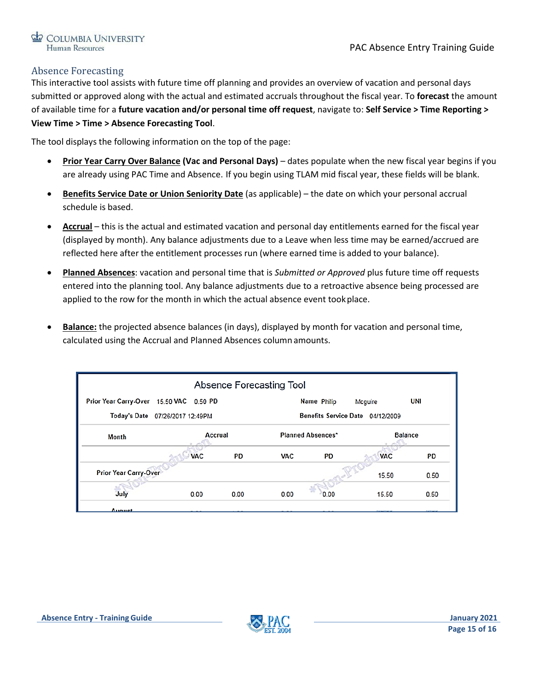# <span id="page-15-0"></span>Absence Forecasting

This interactive tool assists with future time off planning and provides an overview of vacation and personal days submitted or approved along with the actual and estimated accruals throughout the fiscal year. To **forecast** the amount of available time for a **future vacation and/or personal time off request**, navigate to: **Self Service > Time Reporting > View Time > Time > Absence Forecasting Tool**.

The tool displays the following information on the top of the page:

- **Prior Year Carry Over Balance (Vac and Personal Days)**  dates populate when the new fiscal year begins if you are already using PAC Time and Absence. If you begin using TLAM mid fiscal year, these fields will be blank.
- **Benefits Service Date or Union Seniority Date** (as applicable) the date on which your personal accrual schedule is based.
- **Accrual** this is the actual and estimated vacation and personal day entitlements earned for the fiscal year (displayed by month). Any balance adjustments due to a Leave when less time may be earned/accrued are reflected here after the entitlement processes run (where earned time is added to your balance).
- **Planned Absences**: vacation and personal time that is *Submitted or Approved* plus future time off requests entered into the planning tool. Any balance adjustments due to a retroactive absence being processed are applied to the row for the month in which the actual absence event tookplace.
- **Balance:** the projected absence balances (in days), displayed by month for vacation and personal time, calculated using the Accrual and Planned Absences column amounts.

|                                                                     |            |      | Absence Forecasting Tool |                          |            |                |  |  |
|---------------------------------------------------------------------|------------|------|--------------------------|--------------------------|------------|----------------|--|--|
| Prior Year Carry-Over 15.50 VAC 0.50 PD                             |            |      |                          | Name Philip              | Mcquire    | <b>UNI</b>     |  |  |
| Benefits Service Date 04/12/2009<br>Today's Date 07/26/2017 12:49PM |            |      |                          |                          |            |                |  |  |
| Month                                                               | Accrual    |      |                          | <b>Planned Absences*</b> |            | <b>Balance</b> |  |  |
|                                                                     | <b>VAC</b> | PD   | <b>VAC</b>               | PD                       | <b>VAC</b> | <b>PD</b>      |  |  |
| Prior Year Carry-Over                                               |            |      |                          |                          | 15.50      | 0.50           |  |  |
| July                                                                | 0.00       | 0.00 | 0.00                     | 0.00                     | 15.50      | 0.50           |  |  |
| August                                                              |            |      |                          |                          |            |                |  |  |